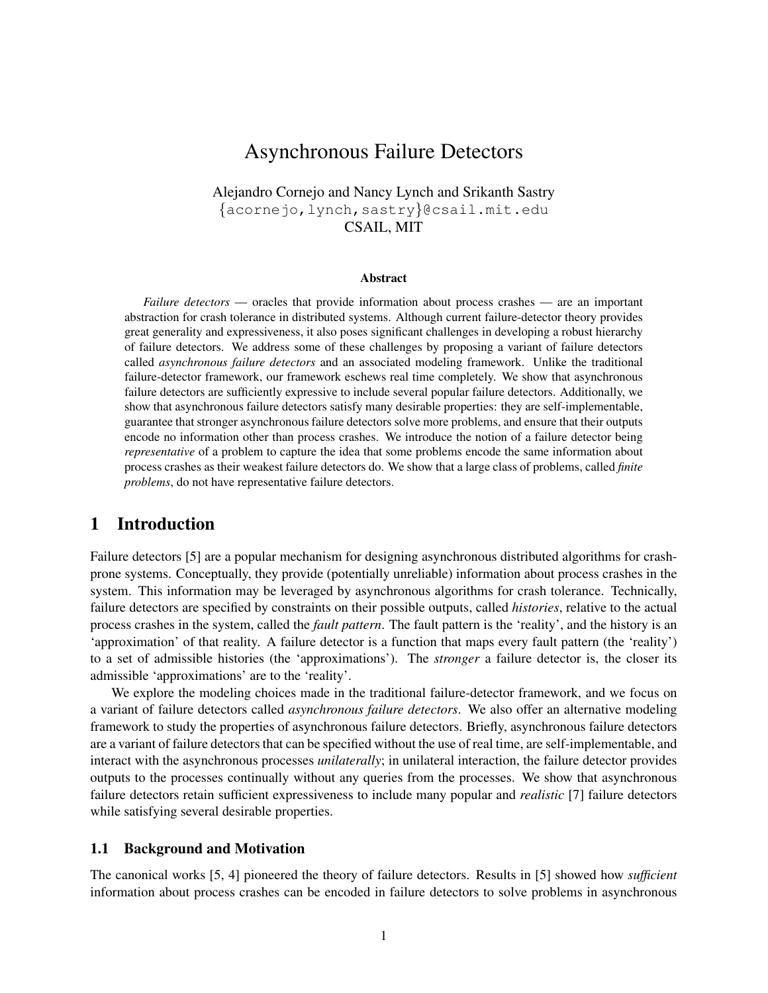# Asynchronous Failure Detectors

Alejandro Cornejo and Nancy Lynch and Srikanth Sastry {acornejo,lynch,sastry}@csail.mit.edu CSAIL, MIT

#### Abstract

*Failure detectors* — oracles that provide information about process crashes — are an important abstraction for crash tolerance in distributed systems. Although current failure-detector theory provides great generality and expressiveness, it also poses significant challenges in developing a robust hierarchy of failure detectors. We address some of these challenges by proposing a variant of failure detectors called *asynchronous failure detectors* and an associated modeling framework. Unlike the traditional failure-detector framework, our framework eschews real time completely. We show that asynchronous failure detectors are sufficiently expressive to include several popular failure detectors. Additionally, we show that asynchronous failure detectors satisfy many desirable properties: they are self-implementable, guarantee that stronger asynchronous failure detectors solve more problems, and ensure that their outputs encode no information other than process crashes. We introduce the notion of a failure detector being *representative* of a problem to capture the idea that some problems encode the same information about process crashes as their weakest failure detectors do. We show that a large class of problems, called *finite problems*, do not have representative failure detectors.

## 1 Introduction

Failure detectors [5] are a popular mechanism for designing asynchronous distributed algorithms for crashprone systems. Conceptually, they provide (potentially unreliable) information about process crashes in the system. This information may be leveraged by asynchronous algorithms for crash tolerance. Technically, failure detectors are specified by constraints on their possible outputs, called *histories*, relative to the actual process crashes in the system, called the *fault pattern*. The fault pattern is the 'reality', and the history is an 'approximation' of that reality. A failure detector is a function that maps every fault pattern (the 'reality') to a set of admissible histories (the 'approximations'). The *stronger* a failure detector is, the closer its admissible 'approximations' are to the 'reality'.

We explore the modeling choices made in the traditional failure-detector framework, and we focus on a variant of failure detectors called *asynchronous failure detectors*. We also offer an alternative modeling framework to study the properties of asynchronous failure detectors. Briefly, asynchronous failure detectors are a variant of failure detectors that can be specified without the use of real time, are self-implementable, and interact with the asynchronous processes *unilaterally*; in unilateral interaction, the failure detector provides outputs to the processes continually without any queries from the processes. We show that asynchronous failure detectors retain sufficient expressiveness to include many popular and *realistic* [7] failure detectors while satisfying several desirable properties.

## 1.1 Background and Motivation

The canonical works [5, 4] pioneered the theory of failure detectors. Results in [5] showed how *sufficient* information about process crashes can be encoded in failure detectors to solve problems in asynchronous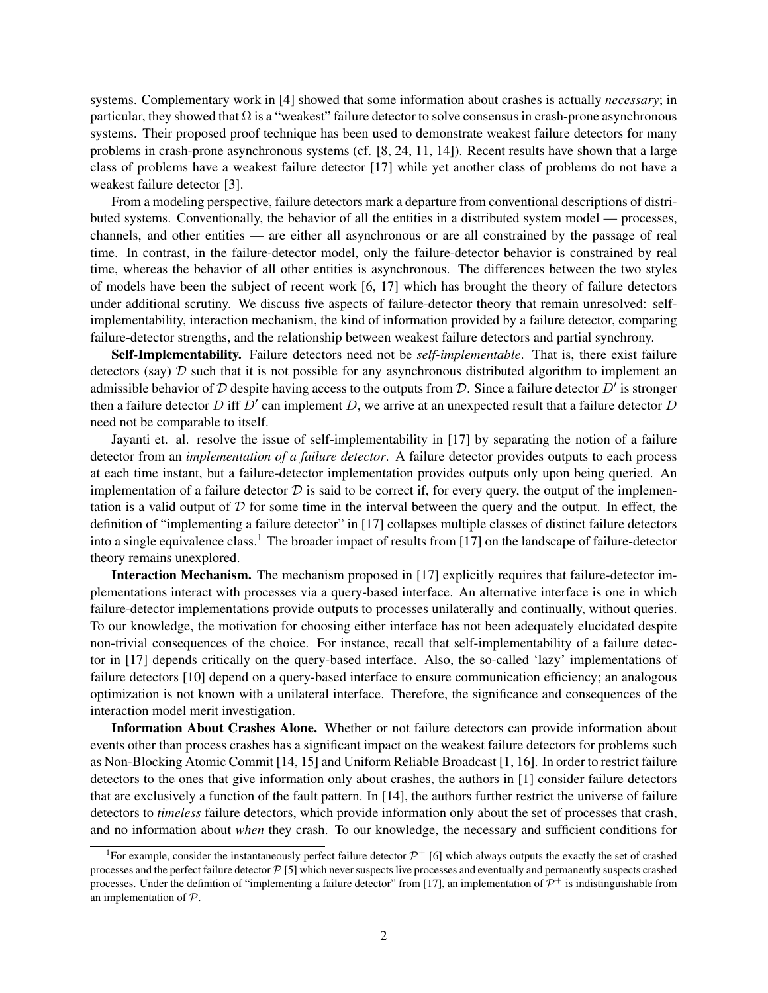systems. Complementary work in [4] showed that some information about crashes is actually *necessary*; in particular, they showed that  $\Omega$  is a "weakest" failure detector to solve consensus in crash-prone asynchronous systems. Their proposed proof technique has been used to demonstrate weakest failure detectors for many problems in crash-prone asynchronous systems (cf. [8, 24, 11, 14]). Recent results have shown that a large class of problems have a weakest failure detector [17] while yet another class of problems do not have a weakest failure detector [3].

From a modeling perspective, failure detectors mark a departure from conventional descriptions of distributed systems. Conventionally, the behavior of all the entities in a distributed system model — processes, channels, and other entities — are either all asynchronous or are all constrained by the passage of real time. In contrast, in the failure-detector model, only the failure-detector behavior is constrained by real time, whereas the behavior of all other entities is asynchronous. The differences between the two styles of models have been the subject of recent work [6, 17] which has brought the theory of failure detectors under additional scrutiny. We discuss five aspects of failure-detector theory that remain unresolved: selfimplementability, interaction mechanism, the kind of information provided by a failure detector, comparing failure-detector strengths, and the relationship between weakest failure detectors and partial synchrony.

Self-Implementability. Failure detectors need not be *self-implementable*. That is, there exist failure detectors (say)  $D$  such that it is not possible for any asynchronous distributed algorithm to implement an admissible behavior of D despite having access to the outputs from D. Since a failure detector  $D'$  is stronger then a failure detector D iff D' can implement D, we arrive at an unexpected result that a failure detector D need not be comparable to itself.

Jayanti et. al. resolve the issue of self-implementability in [17] by separating the notion of a failure detector from an *implementation of a failure detector*. A failure detector provides outputs to each process at each time instant, but a failure-detector implementation provides outputs only upon being queried. An implementation of a failure detector  $D$  is said to be correct if, for every query, the output of the implementation is a valid output of  $D$  for some time in the interval between the query and the output. In effect, the definition of "implementing a failure detector" in [17] collapses multiple classes of distinct failure detectors into a single equivalence class.<sup>1</sup> The broader impact of results from [17] on the landscape of failure-detector theory remains unexplored.

Interaction Mechanism. The mechanism proposed in [17] explicitly requires that failure-detector implementations interact with processes via a query-based interface. An alternative interface is one in which failure-detector implementations provide outputs to processes unilaterally and continually, without queries. To our knowledge, the motivation for choosing either interface has not been adequately elucidated despite non-trivial consequences of the choice. For instance, recall that self-implementability of a failure detector in [17] depends critically on the query-based interface. Also, the so-called 'lazy' implementations of failure detectors [10] depend on a query-based interface to ensure communication efficiency; an analogous optimization is not known with a unilateral interface. Therefore, the significance and consequences of the interaction model merit investigation.

Information About Crashes Alone. Whether or not failure detectors can provide information about events other than process crashes has a significant impact on the weakest failure detectors for problems such as Non-Blocking Atomic Commit [14, 15] and Uniform Reliable Broadcast [1, 16]. In order to restrict failure detectors to the ones that give information only about crashes, the authors in [1] consider failure detectors that are exclusively a function of the fault pattern. In [14], the authors further restrict the universe of failure detectors to *timeless* failure detectors, which provide information only about the set of processes that crash, and no information about *when* they crash. To our knowledge, the necessary and sufficient conditions for

<sup>&</sup>lt;sup>1</sup>For example, consider the instantaneously perfect failure detector  $\mathcal{P}^+$  [6] which always outputs the exactly the set of crashed processes and the perfect failure detector  $\mathcal{P}$  [5] which never suspects live processes and eventually and permanently suspects crashed processes. Under the definition of "implementing a failure detector" from [17], an implementation of  $\mathcal{P}^+$  is indistinguishable from an implementation of P.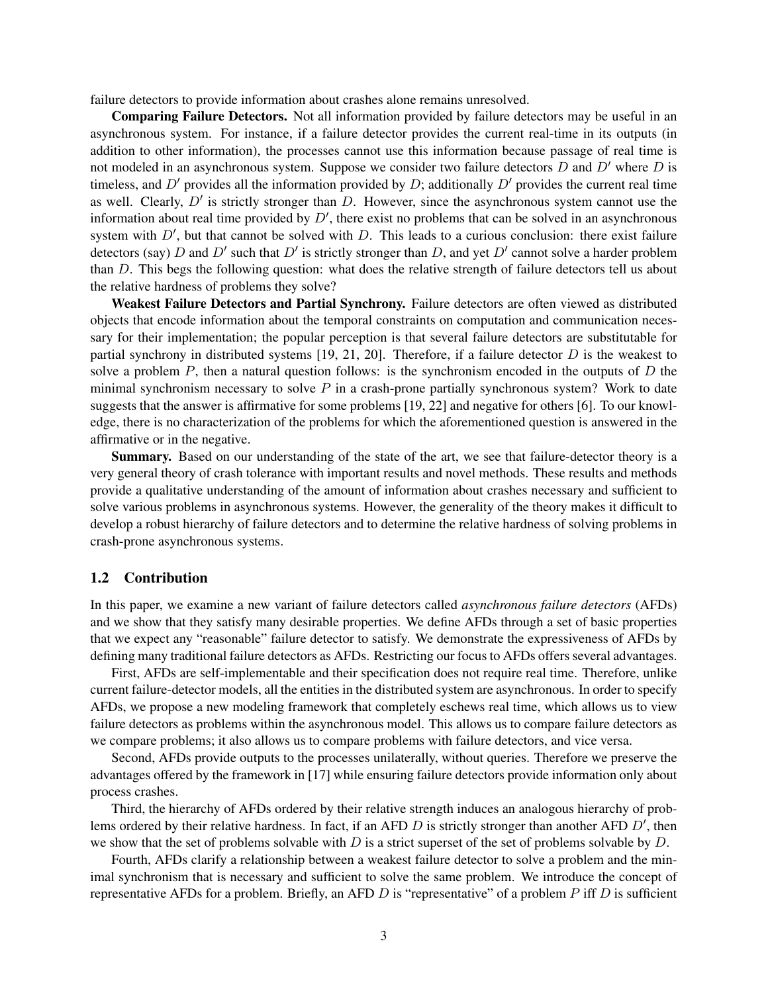failure detectors to provide information about crashes alone remains unresolved.

Comparing Failure Detectors. Not all information provided by failure detectors may be useful in an asynchronous system. For instance, if a failure detector provides the current real-time in its outputs (in addition to other information), the processes cannot use this information because passage of real time is not modeled in an asynchronous system. Suppose we consider two failure detectors  $D$  and  $D'$  where  $D$  is timeless, and D' provides all the information provided by D; additionally D' provides the current real time as well. Clearly,  $D'$  is strictly stronger than  $D$ . However, since the asynchronous system cannot use the information about real time provided by  $D'$ , there exist no problems that can be solved in an asynchronous system with  $D'$ , but that cannot be solved with  $D$ . This leads to a curious conclusion: there exist failure detectors (say) D and D' such that D' is strictly stronger than D, and yet D' cannot solve a harder problem than D. This begs the following question: what does the relative strength of failure detectors tell us about the relative hardness of problems they solve?

Weakest Failure Detectors and Partial Synchrony. Failure detectors are often viewed as distributed objects that encode information about the temporal constraints on computation and communication necessary for their implementation; the popular perception is that several failure detectors are substitutable for partial synchrony in distributed systems  $[19, 21, 20]$ . Therefore, if a failure detector D is the weakest to solve a problem  $P$ , then a natural question follows: is the synchronism encoded in the outputs of  $D$  the minimal synchronism necessary to solve  $P$  in a crash-prone partially synchronous system? Work to date suggests that the answer is affirmative for some problems [19, 22] and negative for others [6]. To our knowledge, there is no characterization of the problems for which the aforementioned question is answered in the affirmative or in the negative.

Summary. Based on our understanding of the state of the art, we see that failure-detector theory is a very general theory of crash tolerance with important results and novel methods. These results and methods provide a qualitative understanding of the amount of information about crashes necessary and sufficient to solve various problems in asynchronous systems. However, the generality of the theory makes it difficult to develop a robust hierarchy of failure detectors and to determine the relative hardness of solving problems in crash-prone asynchronous systems.

### 1.2 Contribution

In this paper, we examine a new variant of failure detectors called *asynchronous failure detectors* (AFDs) and we show that they satisfy many desirable properties. We define AFDs through a set of basic properties that we expect any "reasonable" failure detector to satisfy. We demonstrate the expressiveness of AFDs by defining many traditional failure detectors as AFDs. Restricting our focus to AFDs offers several advantages.

First, AFDs are self-implementable and their specification does not require real time. Therefore, unlike current failure-detector models, all the entities in the distributed system are asynchronous. In order to specify AFDs, we propose a new modeling framework that completely eschews real time, which allows us to view failure detectors as problems within the asynchronous model. This allows us to compare failure detectors as we compare problems; it also allows us to compare problems with failure detectors, and vice versa.

Second, AFDs provide outputs to the processes unilaterally, without queries. Therefore we preserve the advantages offered by the framework in [17] while ensuring failure detectors provide information only about process crashes.

Third, the hierarchy of AFDs ordered by their relative strength induces an analogous hierarchy of problems ordered by their relative hardness. In fact, if an AFD  $D$  is strictly stronger than another AFD  $D'$ , then we show that the set of problems solvable with  $D$  is a strict superset of the set of problems solvable by  $D$ .

Fourth, AFDs clarify a relationship between a weakest failure detector to solve a problem and the minimal synchronism that is necessary and sufficient to solve the same problem. We introduce the concept of representative AFDs for a problem. Briefly, an AFD  $D$  is "representative" of a problem  $P$  iff  $D$  is sufficient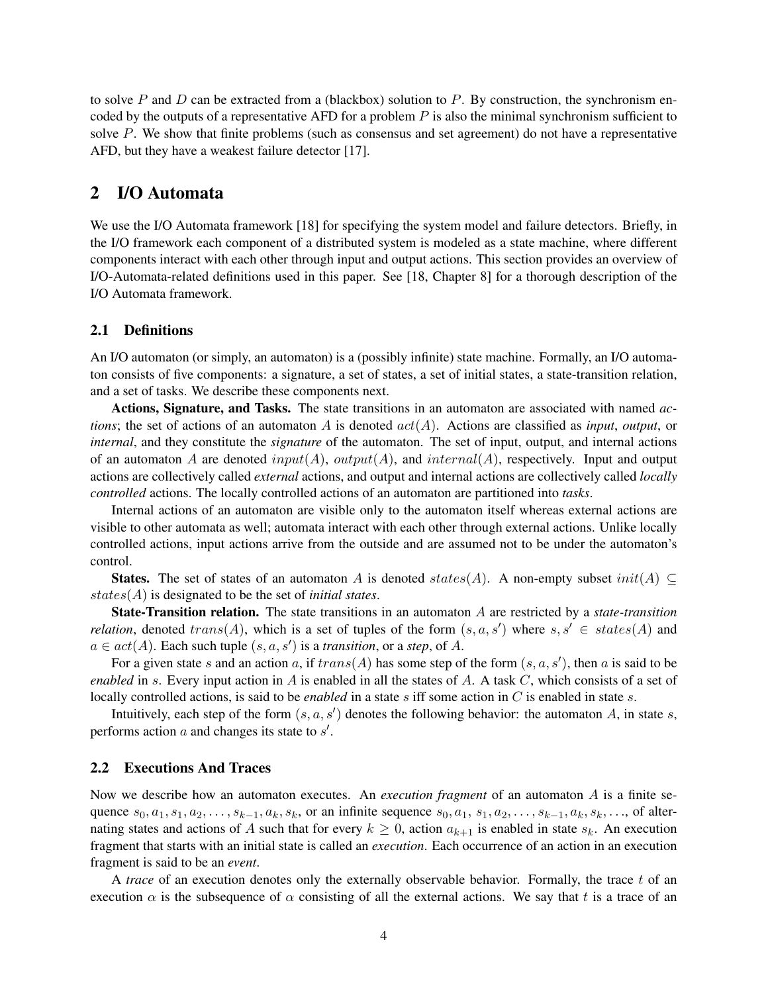to solve P and D can be extracted from a (blackbox) solution to P. By construction, the synchronism encoded by the outputs of a representative AFD for a problem  $P$  is also the minimal synchronism sufficient to solve P. We show that finite problems (such as consensus and set agreement) do not have a representative AFD, but they have a weakest failure detector [17].

## 2 I/O Automata

We use the I/O Automata framework [18] for specifying the system model and failure detectors. Briefly, in the I/O framework each component of a distributed system is modeled as a state machine, where different components interact with each other through input and output actions. This section provides an overview of I/O-Automata-related definitions used in this paper. See [18, Chapter 8] for a thorough description of the I/O Automata framework.

## 2.1 Definitions

An I/O automaton (or simply, an automaton) is a (possibly infinite) state machine. Formally, an I/O automaton consists of five components: a signature, a set of states, a set of initial states, a state-transition relation, and a set of tasks. We describe these components next.

Actions, Signature, and Tasks. The state transitions in an automaton are associated with named *actions*; the set of actions of an automaton A is denoted  $act(A)$ . Actions are classified as *input*, *output*, or *internal*, and they constitute the *signature* of the automaton. The set of input, output, and internal actions of an automaton A are denoted input(A), output(A), and internal(A), respectively. Input and output actions are collectively called *external* actions, and output and internal actions are collectively called *locally controlled* actions. The locally controlled actions of an automaton are partitioned into *tasks*.

Internal actions of an automaton are visible only to the automaton itself whereas external actions are visible to other automata as well; automata interact with each other through external actions. Unlike locally controlled actions, input actions arrive from the outside and are assumed not to be under the automaton's control.

**States.** The set of states of an automaton A is denoted states(A). A non-empty subset  $init(A) \subseteq$ states(A) is designated to be the set of *initial states*.

State-Transition relation. The state transitions in an automaton A are restricted by a *state-transition relation*, denoted  $trans(A)$ , which is a set of tuples of the form  $(s, a, s')$  where  $s, s' \in states(A)$  and  $a \in act(A)$ . Each such tuple  $(s, a, s')$  is a *transition*, or a *step*, of A.

For a given state s and an action a, if  $trans(A)$  has some step of the form  $(s, a, s')$ , then a is said to be *enabled* in s. Every input action in A is enabled in all the states of A. A task C, which consists of a set of locally controlled actions, is said to be *enabled* in a state s iff some action in C is enabled in state s.

Intuitively, each step of the form  $(s, a, s')$  denotes the following behavior: the automaton A, in state s, performs action  $a$  and changes its state to  $s'$ .

## 2.2 Executions And Traces

Now we describe how an automaton executes. An *execution fragment* of an automaton A is a finite sequence  $s_0, a_1, s_1, a_2, \ldots, s_{k-1}, a_k, s_k$ , or an infinite sequence  $s_0, a_1, s_1, a_2, \ldots, s_{k-1}, a_k, s_k, \ldots$ , of alternating states and actions of A such that for every  $k \geq 0$ , action  $a_{k+1}$  is enabled in state  $s_k$ . An execution fragment that starts with an initial state is called an *execution*. Each occurrence of an action in an execution fragment is said to be an *event*.

A *trace* of an execution denotes only the externally observable behavior. Formally, the trace t of an execution  $\alpha$  is the subsequence of  $\alpha$  consisting of all the external actions. We say that t is a trace of an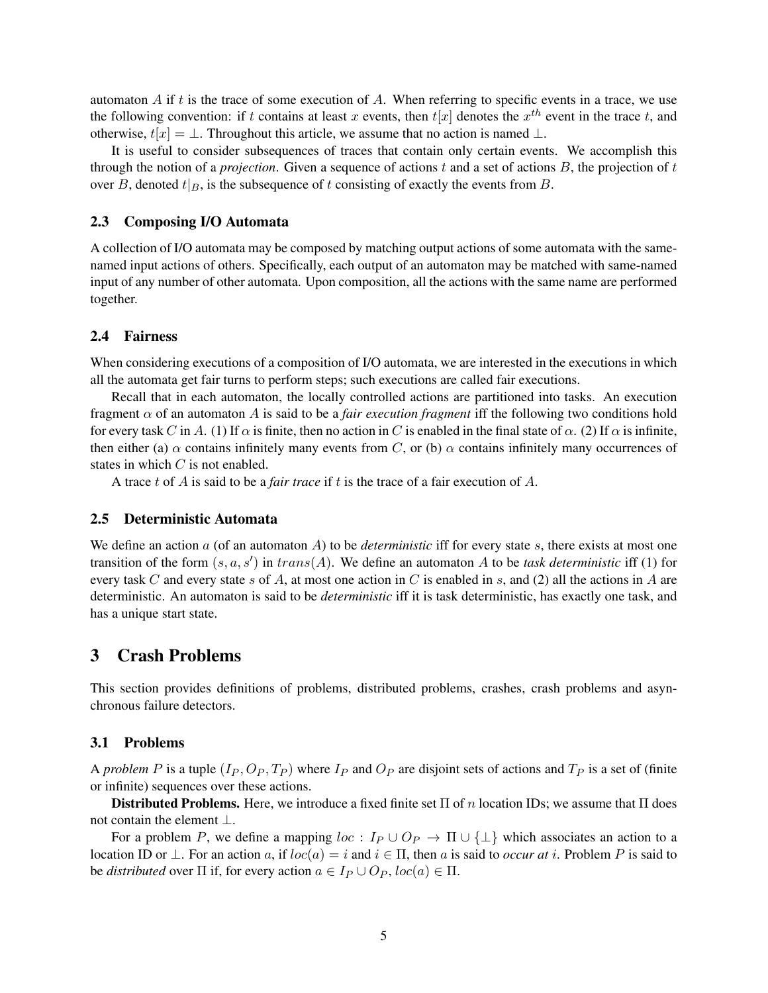automaton  $A$  if  $t$  is the trace of some execution of  $A$ . When referring to specific events in a trace, we use the following convention: if t contains at least x events, then  $t[x]$  denotes the  $x^{th}$  event in the trace t, and otherwise,  $t[x] = \bot$ . Throughout this article, we assume that no action is named  $\bot$ .

It is useful to consider subsequences of traces that contain only certain events. We accomplish this through the notion of a *projection*. Given a sequence of actions t and a set of actions  $B$ , the projection of t over B, denoted  $t|_B$ , is the subsequence of t consisting of exactly the events from B.

### 2.3 Composing I/O Automata

A collection of I/O automata may be composed by matching output actions of some automata with the samenamed input actions of others. Specifically, each output of an automaton may be matched with same-named input of any number of other automata. Upon composition, all the actions with the same name are performed together.

### 2.4 Fairness

When considering executions of a composition of I/O automata, we are interested in the executions in which all the automata get fair turns to perform steps; such executions are called fair executions.

Recall that in each automaton, the locally controlled actions are partitioned into tasks. An execution fragment  $\alpha$  of an automaton A is said to be a *fair execution fragment* iff the following two conditions hold for every task C in A. (1) If  $\alpha$  is finite, then no action in C is enabled in the final state of  $\alpha$ . (2) If  $\alpha$  is infinite, then either (a)  $\alpha$  contains infinitely many events from C, or (b)  $\alpha$  contains infinitely many occurrences of states in which C is not enabled.

A trace t of A is said to be a *fair trace* if t is the trace of a fair execution of A.

### 2.5 Deterministic Automata

We define an action a (of an automaton A) to be *deterministic* iff for every state s, there exists at most one transition of the form  $(s, a, s')$  in  $trans(A)$ . We define an automaton A to be *task deterministic* iff (1) for every task C and every state s of A, at most one action in C is enabled in s, and (2) all the actions in A are deterministic. An automaton is said to be *deterministic* iff it is task deterministic, has exactly one task, and has a unique start state.

## 3 Crash Problems

This section provides definitions of problems, distributed problems, crashes, crash problems and asynchronous failure detectors.

#### 3.1 Problems

A *problem* P is a tuple  $(I_P, O_P, T_P)$  where  $I_P$  and  $O_P$  are disjoint sets of actions and  $T_P$  is a set of (finite or infinite) sequences over these actions.

Distributed Problems. Here, we introduce a fixed finite set  $\Pi$  of n location IDs; we assume that  $\Pi$  does not contain the element ⊥.

For a problem P, we define a mapping  $loc: I_P \cup O_P \to \Pi \cup {\{\perp\}}$  which associates an action to a location ID or  $\bot$ . For an action a, if  $loc(a) = i$  and  $i \in \Pi$ , then a is said to *occur at* i. Problem P is said to be *distributed* over  $\Pi$  if, for every action  $a \in I_P \cup O_P$ ,  $loc(a) \in \Pi$ .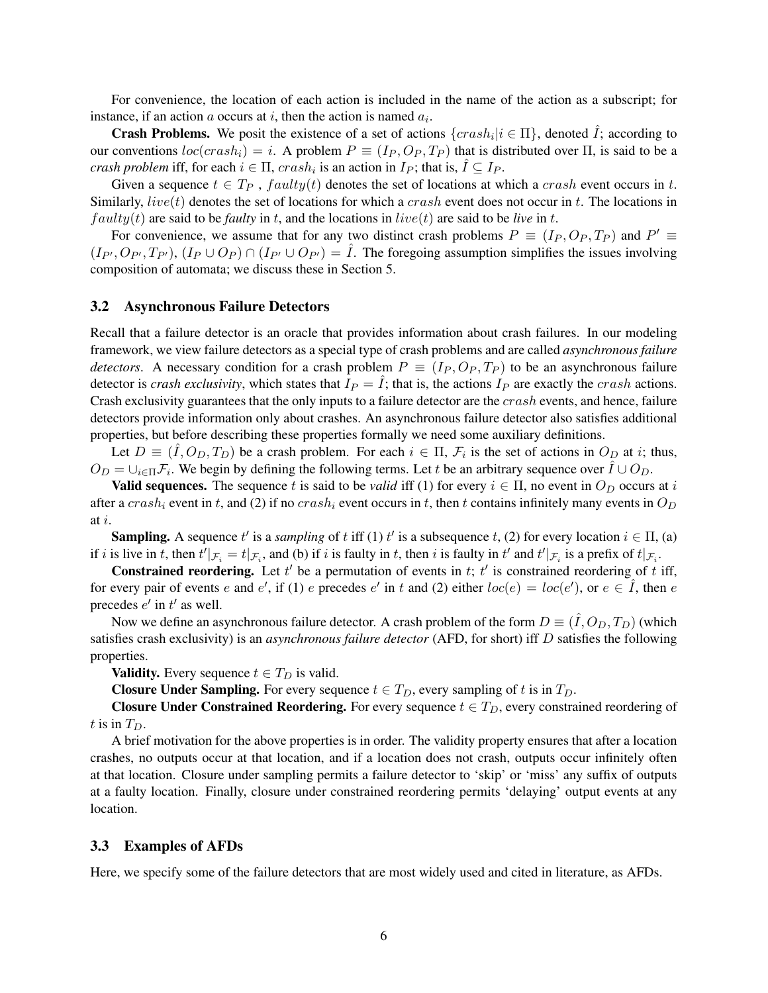For convenience, the location of each action is included in the name of the action as a subscript; for instance, if an action  $a$  occurs at  $i$ , then the action is named  $a_i$ .

**Crash Problems.** We posit the existence of a set of actions  $\{crash_i | i \in \Pi\}$ , denoted  $\hat{I}$ ; according to our conventions  $loc(crash_i) = i$ . A problem  $P \equiv (I_P, O_P, T_P)$  that is distributed over  $\Pi$ , is said to be a *crash problem* iff, for each  $i \in \Pi$ ,  $crash_i$  is an action in  $I_P$ ; that is,  $\hat{I} \subseteq I_P$ .

Given a sequence  $t \in T_P$ , faulty(t) denotes the set of locations at which a crash event occurs in t. Similarly, *live(t)* denotes the set of locations for which a *crash* event does not occur in t. The locations in  $faulty(t)$  are said to be *faulty* in t, and the locations in live (t) are said to be live in t.

For convenience, we assume that for any two distinct crash problems  $P \equiv (I_P, O_P, T_P)$  and  $P' \equiv$  $(I_{P'}, O_{P'}, T_{P'})$ ,  $(I_P \cup O_P) \cap (I_{P'} \cup O_{P'}) = I$ . The foregoing assumption simplifies the issues involving composition of automata; we discuss these in Section 5.

### 3.2 Asynchronous Failure Detectors

Recall that a failure detector is an oracle that provides information about crash failures. In our modeling framework, we view failure detectors as a special type of crash problems and are called *asynchronous failure detectors*. A necessary condition for a crash problem  $P \equiv (I_P, O_P, T_P)$  to be an asynchronous failure detector is *crash exclusivity*, which states that  $I_P = \tilde{I}$ ; that is, the actions  $I_P$  are exactly the *crash* actions. Crash exclusivity guarantees that the only inputs to a failure detector are the *crash* events, and hence, failure detectors provide information only about crashes. An asynchronous failure detector also satisfies additional properties, but before describing these properties formally we need some auxiliary definitions.

Let  $D \equiv (\hat{I}, O_D, T_D)$  be a crash problem. For each  $i \in \Pi$ ,  $\mathcal{F}_i$  is the set of actions in  $O_D$  at i; thus,  $O_D = \bigcup_{i \in \Pi} \mathcal{F}_i$ . We begin by defining the following terms. Let t be an arbitrary sequence over  $\hat{I} \cup O_D$ .

**Valid sequences.** The sequence t is said to be *valid* iff (1) for every  $i \in \Pi$ , no event in  $O_D$  occurs at i after a  $crash_i$  event in t, and (2) if no  $crash_i$  event occurs in t, then t contains infinitely many events in  $O_D$ at i.

**Sampling.** A sequence t' is a *sampling* of t iff (1) t' is a subsequence t, (2) for every location  $i \in \Pi$ , (a) if i is live in t, then  $t'|_{\mathcal{F}_i} = t|_{\mathcal{F}_i}$ , and (b) if i is faulty in t, then i is faulty in  $t'$  and  $t'|_{\mathcal{F}_i}$  is a prefix of  $t|_{\mathcal{F}_i}$ .

**Constrained reordering.** Let  $t'$  be a permutation of events in  $t$ ;  $t'$  is constrained reordering of  $t$  iff, for every pair of events e and e', if (1) e precedes e' in t and (2) either  $loc(e) = loc(e')$ , or  $e \in \hat{I}$ , then e precedes  $e'$  in  $t'$  as well.

Now we define an asynchronous failure detector. A crash problem of the form  $D \equiv (\hat{I}, O_D, T_D)$  (which satisfies crash exclusivity) is an *asynchronous failure detector* (AFD, for short) iff D satisfies the following properties.

**Validity.** Every sequence  $t \in T_D$  is valid.

**Closure Under Sampling.** For every sequence  $t \in T_D$ , every sampling of t is in  $T_D$ .

Closure Under Constrained Reordering. For every sequence  $t \in T_D$ , every constrained reordering of t is in  $T_D$ .

A brief motivation for the above properties is in order. The validity property ensures that after a location crashes, no outputs occur at that location, and if a location does not crash, outputs occur infinitely often at that location. Closure under sampling permits a failure detector to 'skip' or 'miss' any suffix of outputs at a faulty location. Finally, closure under constrained reordering permits 'delaying' output events at any location.

## 3.3 Examples of AFDs

Here, we specify some of the failure detectors that are most widely used and cited in literature, as AFDs.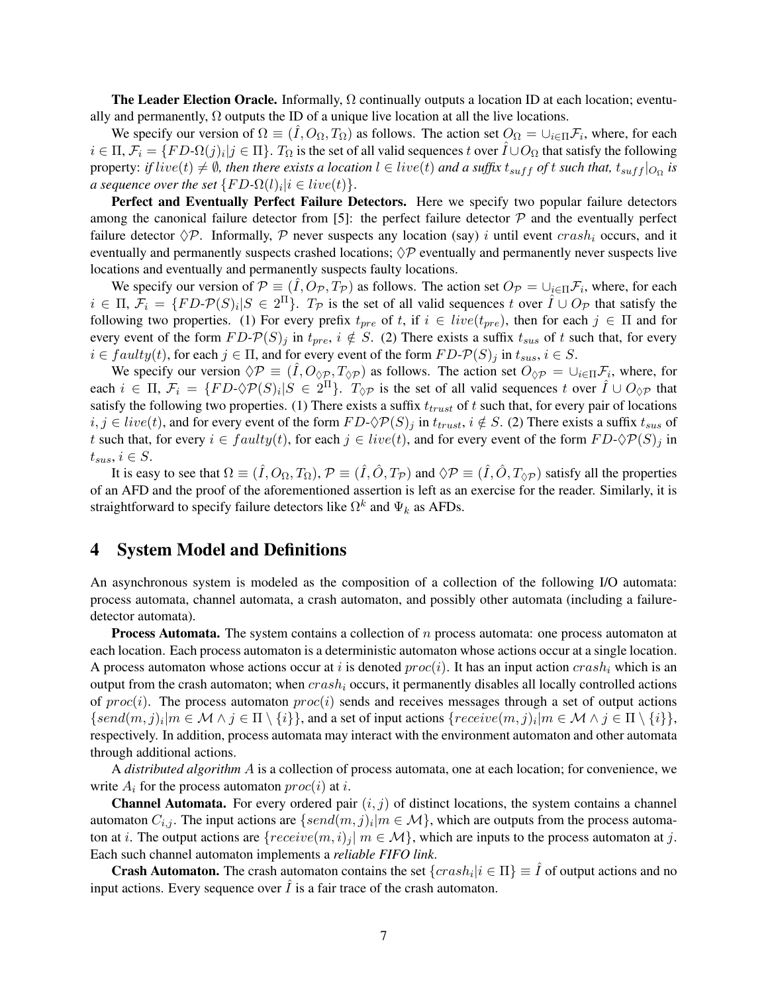**The Leader Election Oracle.** Informally,  $\Omega$  continually outputs a location ID at each location; eventually and permanently,  $\Omega$  outputs the ID of a unique live location at all the live locations.

We specify our version of  $\Omega \equiv (\hat{I}, O_{\Omega}, T_{\Omega})$  as follows. The action set  $O_{\Omega} = \cup_{i \in \Pi} \mathcal{F}_i$ , where, for each  $i \in \Pi$ ,  $\mathcal{F}_i = \{FD \cdot \Omega(j)_i | j \in \Pi\}$ .  $T_{\Omega}$  is the set of all valid sequences t over  $\hat{I} \cup O_{\Omega}$  that satisfy the following property: *if* live(t)  $\neq$   $\emptyset$ , then there exists a location  $l \in live(t)$  and a suffix  $t_{suff}$  of  $t$  such that,  $t_{suff}|_{O_{\Omega}}$  is *a sequence over the set*  $\{FD\text{-}\Omega(l)_i | i \in live(t)\}.$ 

Perfect and Eventually Perfect Failure Detectors. Here we specify two popular failure detectors among the canonical failure detector from [5]: the perfect failure detector  $\mathcal P$  and the eventually perfect failure detector  $\Diamond P$ . Informally, P never suspects any location (say) i until event crash<sub>i</sub> occurs, and it eventually and permanently suspects crashed locations;  $\Diamond \mathcal{P}$  eventually and permanently never suspects live locations and eventually and permanently suspects faulty locations.

We specify our version of  $P \equiv (\hat{I}, O_{\mathcal{P}}, T_{\mathcal{P}})$  as follows. The action set  $O_{\mathcal{P}} = \cup_{i \in \Pi} \mathcal{F}_i$ , where, for each  $i \in \Pi$ ,  $\mathcal{F}_i = \{FD\text{-}P(S)_i | S \in 2^{\Pi}\}\$ .  $T_{\mathcal{P}}$  is the set of all valid sequences t over  $\hat{I} \cup O_{\mathcal{P}}$  that satisfy the following two properties. (1) For every prefix  $t_{pre}$  of t, if  $i \in live(t_{pre})$ , then for each  $j \in \Pi$  and for every event of the form  $FD\text{-}P(S)_j$  in  $t_{pre}$ ,  $i \notin S$ . (2) There exists a suffix  $t_{sus}$  of t such that, for every  $i \in$  f aulty(t), for each  $j \in \Pi$ , and for every event of the form  $FD\text{-}P(S)_j$  in  $t_{sus}$ ,  $i \in S$ .

We specify our version  $\Diamond P \equiv (\hat{I}, O_{\Diamond P}, T_{\Diamond P})$  as follows. The action set  $O_{\Diamond P} = \cup_{i \in \Pi} \mathcal{F}_i$ , where, for each  $i \in \Pi$ ,  $\mathcal{F}_i = \{FD \cdot \Diamond \mathcal{P}(S)_i | S \in 2^{\Pi}\}\$ .  $T_{\Diamond \mathcal{P}}$  is the set of all valid sequences t over  $\hat{I} \cup O_{\Diamond \mathcal{P}}$  that satisfy the following two properties. (1) There exists a suffix  $t_{trust}$  of  $t$  such that, for every pair of locations  $i, j \in live(t)$ , and for every event of the form  $FD.\Diamond \mathcal{P}(S)_j$  in  $t_{trust}$ ,  $i \notin S$ . (2) There exists a suffix  $t_{sus}$  of t such that, for every  $i \in faulty(t)$ , for each  $j \in live(t)$ , and for every event of the form  $FD\cdot \Diamond P(S)_j$  in  $t_{sus}, i \in S.$ 

It is easy to see that  $\Omega \equiv (\hat{I}, O_{\Omega}, T_{\Omega})$ ,  $\mathcal{P} \equiv (\hat{I}, \hat{O}, T_{\mathcal{P}})$  and  $\Diamond \mathcal{P} \equiv (\hat{I}, \hat{O}, T_{\Diamond \mathcal{P}})$  satisfy all the properties of an AFD and the proof of the aforementioned assertion is left as an exercise for the reader. Similarly, it is straightforward to specify failure detectors like  $\Omega^k$  and  $\Psi_k$  as AFDs.

## 4 System Model and Definitions

An asynchronous system is modeled as the composition of a collection of the following I/O automata: process automata, channel automata, a crash automaton, and possibly other automata (including a failuredetector automata).

Process Automata. The system contains a collection of n process automata: one process automaton at each location. Each process automaton is a deterministic automaton whose actions occur at a single location. A process automaton whose actions occur at i is denoted  $proc(i)$ . It has an input action  $crash_i$  which is an output from the crash automaton; when  $crash<sub>i</sub>$  occurs, it permanently disables all locally controlled actions of  $proc(i)$ . The process automaton  $proc(i)$  sends and receives messages through a set of output actions  $\{send(m, j)_i | m \in \mathcal{M} \land j \in \Pi \setminus \{i\}\}$ , and a set of input actions  $\{receive(m, j)_i | m \in \mathcal{M} \land j \in \Pi \setminus \{i\}\}$ , respectively. In addition, process automata may interact with the environment automaton and other automata through additional actions.

A *distributed algorithm* A is a collection of process automata, one at each location; for convenience, we write  $A_i$  for the process automaton  $proc(i)$  at i.

**Channel Automata.** For every ordered pair  $(i, j)$  of distinct locations, the system contains a channel automaton  $C_{i,j}$ . The input actions are  $\{send(m,j)_i | m \in \mathcal{M}\}$ , which are outputs from the process automaton at i. The output actions are  ${receive(m, i)_i | m \in \mathcal{M}}$ , which are inputs to the process automaton at j. Each such channel automaton implements a *reliable FIFO link*.

**Crash Automaton.** The crash automaton contains the set  $\{crash_i | i \in \Pi\} \equiv \hat{I}$  of output actions and no input actions. Every sequence over  $\tilde{I}$  is a fair trace of the crash automaton.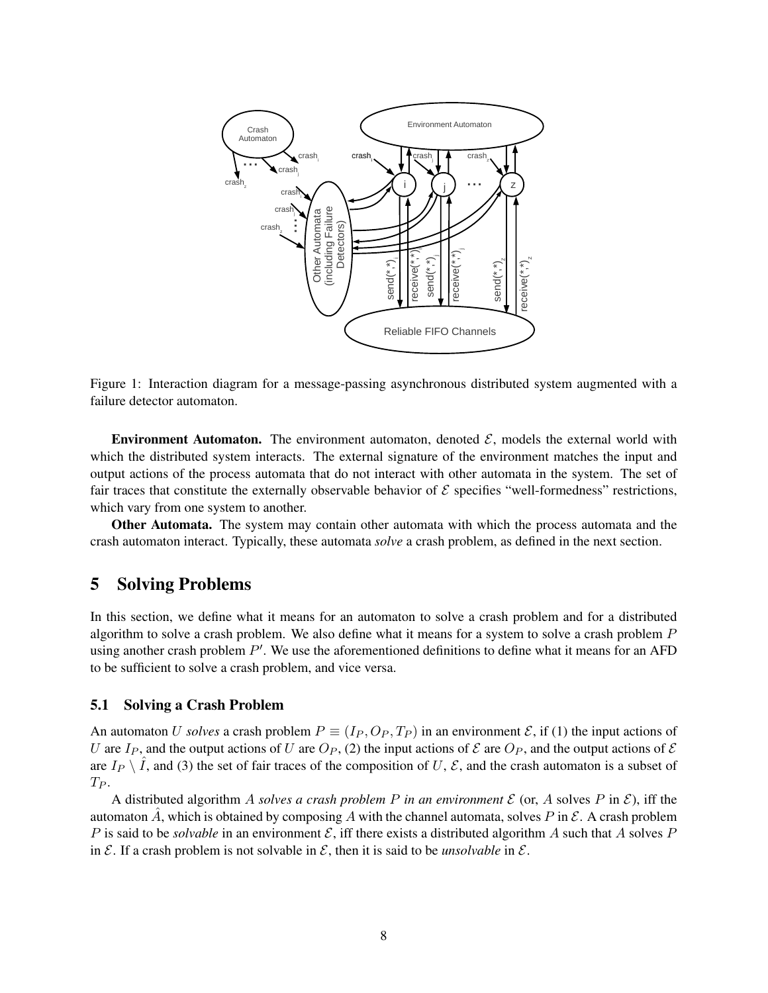

Figure 1: Interaction diagram for a message-passing asynchronous distributed system augmented with a failure detector automaton.

**Environment Automaton.** The environment automaton, denoted  $\mathcal{E}$ , models the external world with which the distributed system interacts. The external signature of the environment matches the input and output actions of the process automata that do not interact with other automata in the system. The set of fair traces that constitute the externally observable behavior of  $\mathcal E$  specifies "well-formedness" restrictions, which vary from one system to another.

Other Automata. The system may contain other automata with which the process automata and the crash automaton interact. Typically, these automata *solve* a crash problem, as defined in the next section.

## 5 Solving Problems

In this section, we define what it means for an automaton to solve a crash problem and for a distributed algorithm to solve a crash problem. We also define what it means for a system to solve a crash problem  $P$ using another crash problem  $P'$ . We use the aforementioned definitions to define what it means for an AFD to be sufficient to solve a crash problem, and vice versa.

### 5.1 Solving a Crash Problem

An automaton U *solves* a crash problem  $P \equiv (I_P, O_P, T_P)$  in an environment  $\mathcal E$ , if (1) the input actions of U are  $I_P$ , and the output actions of U are  $O_P$ , (2) the input actions of E are  $O_P$ , and the output actions of E are  $I_P \setminus \hat{I}$ , and (3) the set of fair traces of the composition of U, E, and the crash automaton is a subset of  $T_P$ .

A distributed algorithm A *solves a crash problem* P in an environment  $\mathcal E$  (or, A solves P in  $\mathcal E$ ), iff the automaton  $\hat{A}$ , which is obtained by composing A with the channel automata, solves P in  $\mathcal{E}$ . A crash problem P is said to be *solvable* in an environment  $\mathcal E$ , iff there exists a distributed algorithm A such that A solves P in E. If a crash problem is not solvable in E, then it is said to be *unsolvable* in  $\mathcal{E}$ .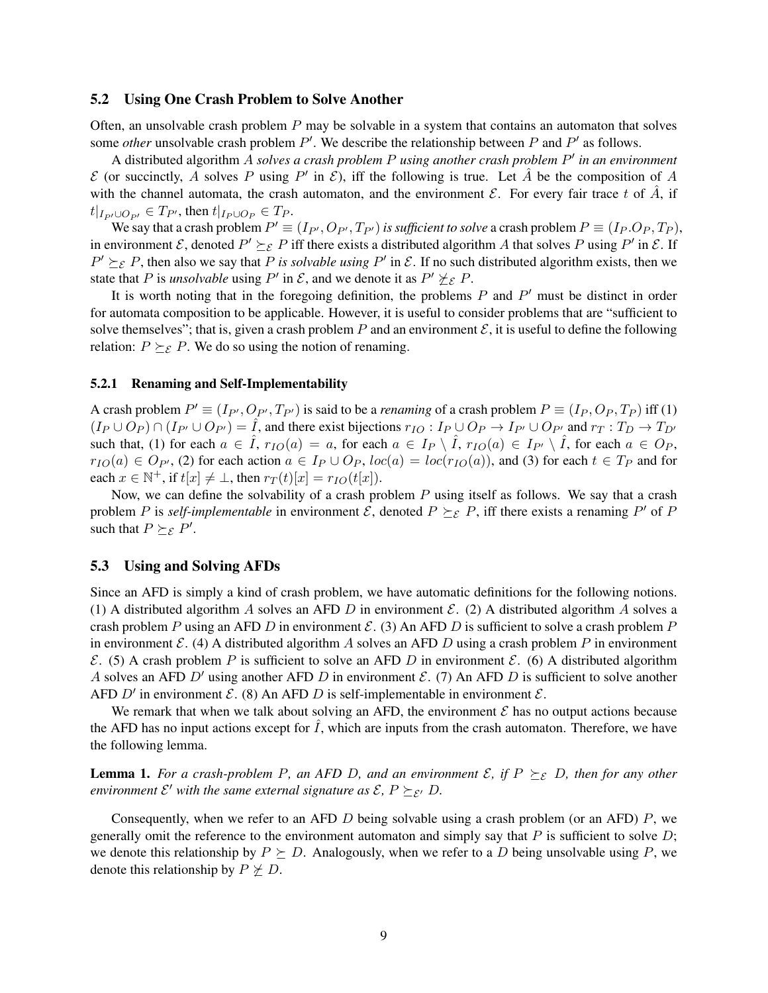### 5.2 Using One Crash Problem to Solve Another

Often, an unsolvable crash problem  $P$  may be solvable in a system that contains an automaton that solves some *other* unsolvable crash problem  $P'$ . We describe the relationship between  $P$  and  $P'$  as follows.

A distributed algorithm A *solves a crash problem* P *using another crash problem* P 0 *in an environment*  $\mathcal E$  (or succinctly, A solves P using P' in  $\mathcal E$ ), iff the following is true. Let  $\hat A$  be the composition of A with the channel automata, the crash automaton, and the environment  $\mathcal{E}$ . For every fair trace t of  $\hat{A}$ , if  $t|_{I_{P'}\cup O_{P'}} \in T_{P'}$ , then  $t|_{I_P\cup O_P} \in T_P$ .

We say that a crash problem  $P' \equiv (I_{P'}, O_{P'}, T_{P'})$  is sufficient to solve a crash problem  $P \equiv (I_P.O_P, T_P)$ , in environment  $\mathcal E$ , denoted  $P' \succeq_{\mathcal E} P$  iff there exists a distributed algorithm A that solves P using  $P'$  in  $\mathcal E$ . If  $P' \succeq_{\mathcal{E}} P$ , then also we say that P is solvable using P' in  $\mathcal{E}$ . If no such distributed algorithm exists, then we state that P is *unsolvable* using P' in  $\mathcal{E}$ , and we denote it as P'  $\neq_{\mathcal{E}} P$ .

It is worth noting that in the foregoing definition, the problems  $P$  and  $P'$  must be distinct in order for automata composition to be applicable. However, it is useful to consider problems that are "sufficient to solve themselves"; that is, given a crash problem P and an environment  $\mathcal E$ , it is useful to define the following relation:  $P \succeq_{\mathcal{E}} P$ . We do so using the notion of renaming.

#### 5.2.1 Renaming and Self-Implementability

A crash problem  $P' \equiv (I_{P'}, O_{P'}, T_{P'})$  is said to be a *renaming* of a crash problem  $P \equiv (I_P, O_P, T_P)$  iff (1)  $(I_P \cup O_P) \cap (I_{P'} \cup O_{P'}) = I$ , and there exist bijections  $r_{IO}: I_P \cup O_P \rightarrow I_{P'} \cup O_{P'}$  and  $r_T: T_D \rightarrow T_{D'}$ such that, (1) for each  $a \in \hat{I}$ ,  $r_{IO}(a) = a$ , for each  $a \in I_P \setminus \hat{I}$ ,  $r_{IO}(a) \in I_{P'} \setminus \hat{I}$ , for each  $a \in O_P$ ,  $r_{IO}(a) \in Op$ , (2) for each action  $a \in I_P \cup O_P$ ,  $loc(a) = loc(r_{IO}(a))$ , and (3) for each  $t \in T_P$  and for each  $x \in \mathbb{N}^+$ , if  $t[x] \neq \bot$ , then  $r_T(t)[x] = r_{IO}(t[x])$ .

Now, we can define the solvability of a crash problem  $P$  using itself as follows. We say that a crash problem P is *self-implementable* in environment  $\mathcal{E}$ , denoted  $P \succeq_{\mathcal{E}} P$ , iff there exists a renaming P' of P such that  $P \succeq_{\mathcal{E}} P'$ .

### 5.3 Using and Solving AFDs

Since an AFD is simply a kind of crash problem, we have automatic definitions for the following notions. (1) A distributed algorithm A solves an AFD D in environment  $\mathcal{E}$ . (2) A distributed algorithm A solves a crash problem P using an AFD D in environment  $\mathcal{E}$ . (3) An AFD D is sufficient to solve a crash problem P in environment  $\mathcal{E}$ . (4) A distributed algorithm A solves an AFD D using a crash problem P in environment  $\mathcal{E}$ . (5) A crash problem P is sufficient to solve an AFD D in environment  $\mathcal{E}$ . (6) A distributed algorithm A solves an AFD D' using another AFD D in environment  $\mathcal{E}$ . (7) An AFD D is sufficient to solve another AFD  $D'$  in environment  $\mathcal{E}$ . (8) An AFD  $D$  is self-implementable in environment  $\mathcal{E}$ .

We remark that when we talk about solving an AFD, the environment  $\mathcal E$  has no output actions because the AFD has no input actions except for  $I$ , which are inputs from the crash automaton. Therefore, we have the following lemma.

**Lemma 1.** For a crash-problem P, an AFD D, and an environment  $\mathcal{E}$ , if  $P \succeq_{\mathcal{E}} D$ , then for any other *environment*  $\mathcal{E}'$  with the same external signature as  $\mathcal{E}$ ,  $P \succeq_{\mathcal{E}'} D$ .

Consequently, when we refer to an AFD  $D$  being solvable using a crash problem (or an AFD)  $P$ , we generally omit the reference to the environment automaton and simply say that  $P$  is sufficient to solve  $D$ ; we denote this relationship by  $P \succeq D$ . Analogously, when we refer to a D being unsolvable using P, we denote this relationship by  $P \not\geq D$ .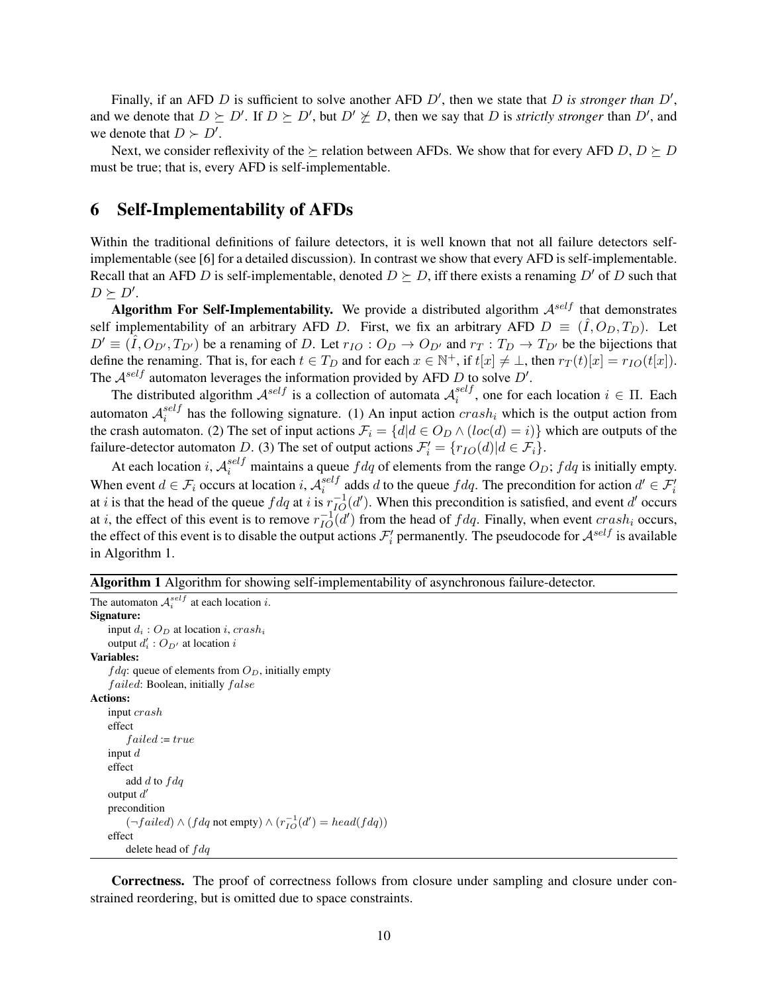Finally, if an AFD  $D$  is sufficient to solve another AFD  $D'$ , then we state that  $D$  *is stronger than*  $D'$ , and we denote that  $D \succeq D'$ . If  $D \succeq D'$ , but  $D' \not\succeq D$ , then we say that D is *strictly stronger* than D', and we denote that  $D \succ D'$ .

Next, we consider reflexivity of the  $\succeq$  relation between AFDs. We show that for every AFD D,  $D \succeq D$ must be true; that is, every AFD is self-implementable.

## 6 Self-Implementability of AFDs

Within the traditional definitions of failure detectors, it is well known that not all failure detectors selfimplementable (see [6] for a detailed discussion). In contrast we show that every AFD is self-implementable. Recall that an AFD D is self-implementable, denoted  $D \succeq D$ , iff there exists a renaming D' of D such that  $D \succeq D'.$ 

Algorithm For Self-Implementability. We provide a distributed algorithm  $A^{self}$  that demonstrates self implementability of an arbitrary AFD D. First, we fix an arbitrary AFD  $D \equiv (\hat{I}, O_D, T_D)$ . Let  $D' \equiv (\hat{I}, O_{D'}, T_{D'})$  be a renaming of D. Let  $r_{IO}: O_{D} \to O_{D'}$  and  $r_T: T_D \to T_{D'}$  be the bijections that define the renaming. That is, for each  $t \in T_D$  and for each  $x \in \mathbb{N}^+$ , if  $t[x] \neq \bot$ , then  $r_T(t)[x] = r_{IO}(t[x])$ . The  $\mathcal{A}^{self}$  automaton leverages the information provided by AFD D to solve D'.

The distributed algorithm  $A^{self}$  is a collection of automata  $A_i^{self}$  $i^{self}$ , one for each location  $i \in \Pi$ . Each automaton  $\mathcal{A}_i^{self}$  $i$ <sup>set f</sup> has the following signature. (1) An input action  $crash_i$  which is the output action from the crash automaton. (2) The set of input actions  $\mathcal{F}_i = \{d | d \in O_D \land (loc(d) = i)\}\$  which are outputs of the failure-detector automaton D. (3) The set of output actions  $\mathcal{F}'_i = \{r_{IO}(d)|d \in \mathcal{F}_i\}.$ 

At each location *i*,  $A_i^{self}$  maintains a queue  $fdq$  of elements from the range  $O_D$ ;  $fdq$  is initially empty. When event  $d \in \mathcal{F}_i$  occurs at location i,  $\mathcal{A}_i^{self}$  $i$ <sup>self</sup> adds d to the queue f dq. The precondition for action  $d' \in \mathcal{F}'_i$ at i is that the head of the queue  $fdq$  at i is  $r_{IO}^{-1}(d')$ . When this precondition is satisfied, and event d'occurs at *i*, the effect of this event is to remove  $r_{IO}^{-1}(d')$  from the head of  $fdq$ . Finally, when event  $crash_i$  occurs, the effect of this event is to disable the output actions  $\mathcal{F}'_i$  permanently. The pseudocode for  $\mathcal{A}^{self}$  is available in Algorithm 1.

Algorithm 1 Algorithm for showing self-implementability of asynchronous failure-detector.

```
The automaton A_i^{self} at each location i.
Signature:
    input d_i: O_D at location i, crash<sub>i</sub>
    output d_i' : O_{D'} at location i
Variables:
    fdq: queue of elements from O<sub>D</sub>, initially empty
    failed: Boolean, initially falseActions:
    input crash
    effect
        failed := trueinput d
    effect
        add d to fdqoutput d'precondition
         (\neg failed) \wedge (fdq \text{ not empty}) \wedge (r_{IO}^{-1}(d')) = head(fdq))effect
        delete head of fdq
```
Correctness. The proof of correctness follows from closure under sampling and closure under constrained reordering, but is omitted due to space constraints.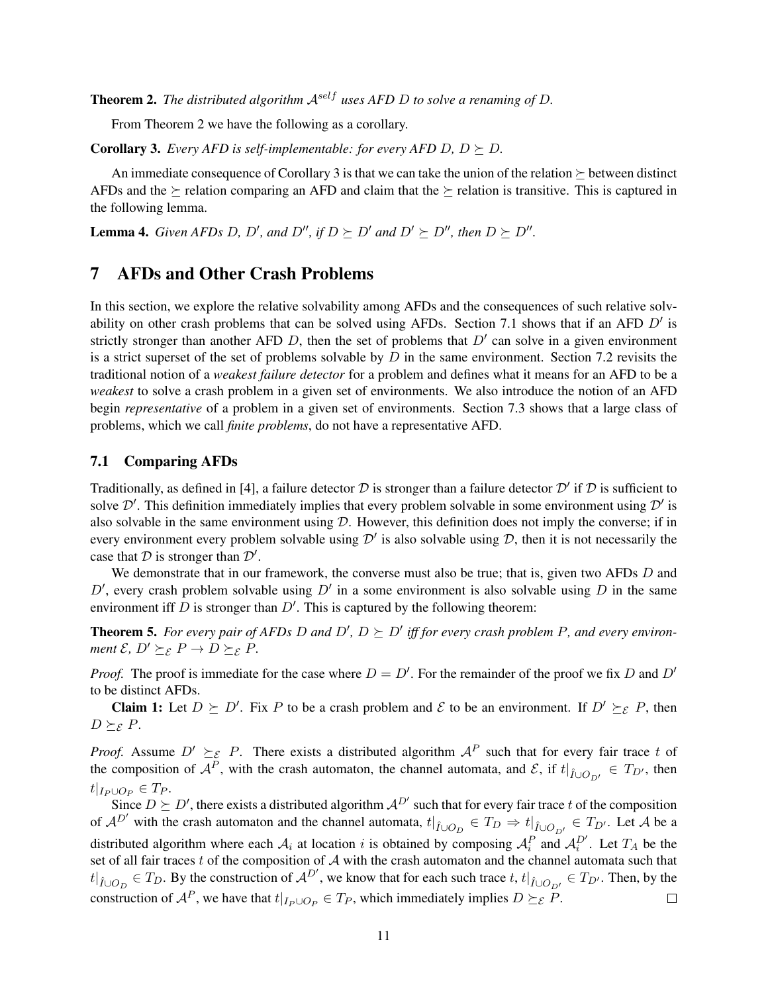**Theorem 2.** *The distributed algorithm*  $A^{self}$  *uses AFD D to solve a renaming of D.* 

From Theorem 2 we have the following as a corollary.

**Corollary 3.** *Every AFD is self-implementable: for every AFD D,*  $D \succeq D$ *.* 

An immediate consequence of Corollary 3 is that we can take the union of the relation  $\succeq$  between distinct AFDs and the  $\succeq$  relation comparing an AFD and claim that the  $\succeq$  relation is transitive. This is captured in the following lemma.

**Lemma 4.** *Given AFDs D, D', and D'', if*  $D \succeq D'$  *and*  $D' \succeq D''$ *, then*  $D \succeq D''$ *.* 

## 7 AFDs and Other Crash Problems

In this section, we explore the relative solvability among AFDs and the consequences of such relative solvability on other crash problems that can be solved using AFDs. Section 7.1 shows that if an AFD  $D'$  is strictly stronger than another AFD  $D$ , then the set of problems that  $D'$  can solve in a given environment is a strict superset of the set of problems solvable by  $D$  in the same environment. Section 7.2 revisits the traditional notion of a *weakest failure detector* for a problem and defines what it means for an AFD to be a *weakest* to solve a crash problem in a given set of environments. We also introduce the notion of an AFD begin *representative* of a problem in a given set of environments. Section 7.3 shows that a large class of problems, which we call *finite problems*, do not have a representative AFD.

### 7.1 Comparing AFDs

Traditionally, as defined in [4], a failure detector  $D$  is stronger than a failure detector  $D'$  if  $D$  is sufficient to solve  $\mathcal{D}'$ . This definition immediately implies that every problem solvable in some environment using  $\mathcal{D}'$  is also solvable in the same environment using  $D$ . However, this definition does not imply the converse; if in every environment every problem solvable using  $\mathcal{D}'$  is also solvable using  $\mathcal{D}$ , then it is not necessarily the case that  $D$  is stronger than  $D'$ .

We demonstrate that in our framework, the converse must also be true; that is, given two AFDs  $D$  and  $D'$ , every crash problem solvable using  $D'$  in a some environment is also solvable using  $D$  in the same environment iff  $D$  is stronger than  $D'$ . This is captured by the following theorem:

**Theorem 5.** For every pair of AFDs D and D',  $D \succeq D'$  iff for every crash problem P, and every environ*ment*  $\mathcal{E}, D' \succeq_{\mathcal{E}} P \rightarrow D \succeq_{\mathcal{E}} P$ .

*Proof.* The proof is immediate for the case where  $D = D'$ . For the remainder of the proof we fix D and D' to be distinct AFDs.

**Claim 1:** Let  $D \succeq D'$ . Fix P to be a crash problem and E to be an environment. If  $D' \succeq_{\mathcal{E}} P$ , then  $D \succeq_{\mathcal{E}} P$ .

*Proof.* Assume  $D' \succeq_{\mathcal{E}} P$ . There exists a distributed algorithm  $A^P$  such that for every fair trace t of the composition of  $\mathcal{A}^P$ , with the crash automaton, the channel automata, and  $\mathcal{E}$ , if  $t|_{\hat{I}\cup O_{D'}} \in T_{D'}$ , then  $t|_{I_P \cup O_P} \in T_P$ .

Since  $D \succeq D'$ , there exists a distributed algorithm  $A^{D'}$  such that for every fair trace t of the composition of  $A^{D'}$  with the crash automaton and the channel automata,  $t|_{\hat{I} \cup O_D} \in T_D \Rightarrow t|_{\hat{I} \cup O_{D'}} \in T_{D'}$ . Let A be a distributed algorithm where each  $A_i$  at location i is obtained by composing  $A_i^P$  and  $A_i^{D'}$ . Let  $T_A$  be the set of all fair traces  $t$  of the composition of  $A$  with the crash automaton and the channel automata such that  $t|_{\hat{I}\cup O_D} \in T_D$ . By the construction of  $\mathcal{A}^{D'}$ , we know that for each such trace  $t, t|_{\hat{I}\cup O_{D'}} \in T_{D'}$ . Then, by the construction of  $\mathcal{A}^P$ , we have that  $t|_{I_P \cup O_P} \in T_P$ , which immediately implies  $D \succeq_{\mathcal{E}} P$ .  $\Box$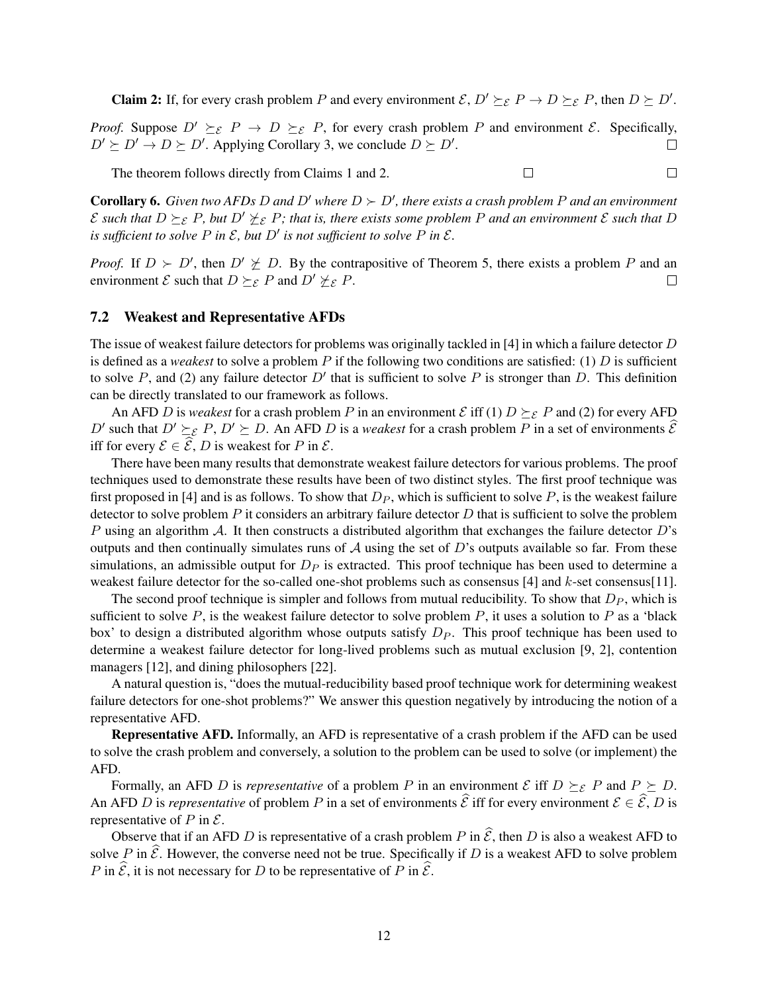**Claim 2:** If, for every crash problem P and every environment  $\mathcal{E}, D' \succeq_{\mathcal{E}} P \to D \succeq_{\mathcal{E}} P$ , then  $D \succeq D'$ .

 $\Box$ 

 $\Box$ 

*Proof.* Suppose  $D' \succeq_{\mathcal{E}} P \to D \succeq_{\mathcal{E}} P$ , for every crash problem P and environment  $\mathcal{E}$ . Specifically,  $D' \succeq D' \rightarrow D \succeq D'$ . Applying Corollary 3, we conclude  $D \succeq D'$ .  $\Box$ 

The theorem follows directly from Claims 1 and 2.

**Corollary 6.** Given two AFDs D and D' where  $D \succ D'$ , there exists a crash problem P and an environment E such that  $D \succeq_{\mathcal{E}} P$ , but  $D' \npreceq_{\mathcal{E}} P$ ; that is, there exists some problem P and an environment E such that D *is sufficient to solve*  $P$  *in*  $\mathcal{E}$ *, but*  $D'$  *is not sufficient to solve*  $P$  *in*  $\mathcal{E}$ *.* 

*Proof.* If  $D \succ D'$ , then  $D' \not\geq D$ . By the contrapositive of Theorem 5, there exists a problem P and an environment  $\mathcal E$  such that  $D \succeq_{\mathcal E} P$  and  $D' \not\succeq_{\mathcal E} P$ .  $\Box$ 

### 7.2 Weakest and Representative AFDs

The issue of weakest failure detectors for problems was originally tackled in [4] in which a failure detector D is defined as a *weakest* to solve a problem  $P$  if the following two conditions are satisfied: (1)  $D$  is sufficient to solve P, and (2) any failure detector  $D'$  that is sufficient to solve P is stronger than D. This definition can be directly translated to our framework as follows.

An AFD D is *weakest* for a crash problem P in an environment  $\mathcal E$  iff (1)  $D \succeq_{\mathcal E} P$  and (2) for every AFD D' such that  $D' \succeq_{\mathcal{E}} P$ ,  $D' \succeq D$ . An AFD D is a *weakest* for a crash problem P in a set of environments  $\widehat{\mathcal{E}}$ iff for every  $\mathcal{E} \in \mathcal{E}, D$  is weakest for P in  $\mathcal{E}.$ 

There have been many results that demonstrate weakest failure detectors for various problems. The proof techniques used to demonstrate these results have been of two distinct styles. The first proof technique was first proposed in [4] and is as follows. To show that  $D_P$ , which is sufficient to solve P, is the weakest failure detector to solve problem  $P$  it considers an arbitrary failure detector  $D$  that is sufficient to solve the problem P using an algorithm  $\mathcal A$ . It then constructs a distributed algorithm that exchanges the failure detector  $D$ 's outputs and then continually simulates runs of  $A$  using the set of D's outputs available so far. From these simulations, an admissible output for  $D<sub>P</sub>$  is extracted. This proof technique has been used to determine a weakest failure detector for the so-called one-shot problems such as consensus [4] and k-set consensus[11].

The second proof technique is simpler and follows from mutual reducibility. To show that  $D<sub>P</sub>$ , which is sufficient to solve P, is the weakest failure detector to solve problem  $P$ , it uses a solution to P as a 'black box' to design a distributed algorithm whose outputs satisfy  $D<sub>P</sub>$ . This proof technique has been used to determine a weakest failure detector for long-lived problems such as mutual exclusion [9, 2], contention managers [12], and dining philosophers [22].

A natural question is, "does the mutual-reducibility based proof technique work for determining weakest failure detectors for one-shot problems?" We answer this question negatively by introducing the notion of a representative AFD.

**Representative AFD.** Informally, an AFD is representative of a crash problem if the AFD can be used to solve the crash problem and conversely, a solution to the problem can be used to solve (or implement) the AFD.

Formally, an AFD D is *representative* of a problem P in an environment  $\mathcal E$  iff  $D \succeq_{\mathcal E} P$  and  $P \succeq D$ . An AFD D is *representative* of problem P in a set of environments  $\hat{\mathcal{E}}$  iff for every environment  $\mathcal{E} \in \hat{\mathcal{E}}$ , D is representative of  $P$  in  $\mathcal{E}$ .

Observe that if an AFD D is representative of a crash problem P in  $\hat{\mathcal{E}}$ , then D is also a weakest AFD to solve P in  $\hat{\mathcal{E}}$ . However, the converse need not be true. Specifically if D is a weakest AFD to solve problem P in  $\widehat{\mathcal{E}}$ , it is not necessary for D to be representative of P in  $\widehat{\mathcal{E}}$ .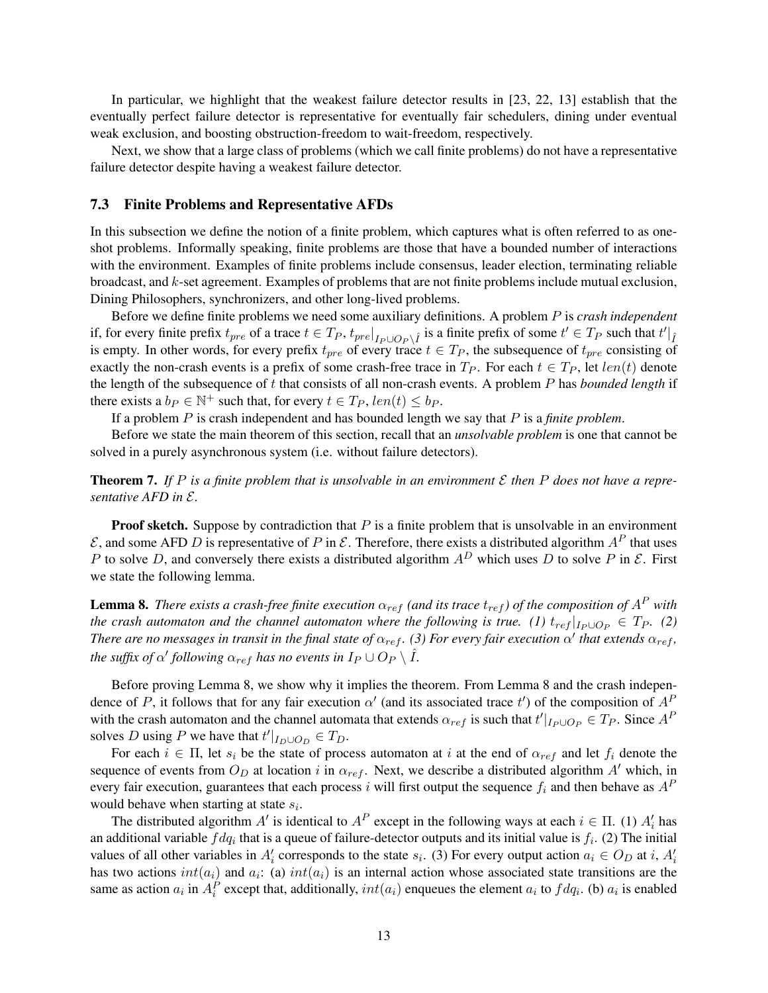In particular, we highlight that the weakest failure detector results in [23, 22, 13] establish that the eventually perfect failure detector is representative for eventually fair schedulers, dining under eventual weak exclusion, and boosting obstruction-freedom to wait-freedom, respectively.

Next, we show that a large class of problems (which we call finite problems) do not have a representative failure detector despite having a weakest failure detector.

### 7.3 Finite Problems and Representative AFDs

In this subsection we define the notion of a finite problem, which captures what is often referred to as oneshot problems. Informally speaking, finite problems are those that have a bounded number of interactions with the environment. Examples of finite problems include consensus, leader election, terminating reliable broadcast, and k-set agreement. Examples of problems that are not finite problems include mutual exclusion, Dining Philosophers, synchronizers, and other long-lived problems.

Before we define finite problems we need some auxiliary definitions. A problem P is *crash independent* if, for every finite prefix  $t_{pre}$  of a trace  $t \in T_P$ ,  $t_{pre}|_{I_P \cup O_P \setminus \hat{I}}$  is a finite prefix of some  $t' \in T_P$  such that  $t'|_{\hat{I}}$ is empty. In other words, for every prefix  $t_{pre}$  of every trace  $t \in T_P$ , the subsequence of  $t_{pre}$  consisting of exactly the non-crash events is a prefix of some crash-free trace in  $T_P$ . For each  $t \in T_P$ , let  $len(t)$  denote the length of the subsequence of t that consists of all non-crash events. A problem P has *bounded length* if there exists a  $b_P \in \mathbb{N}^+$  such that, for every  $t \in T_P$ ,  $len(t) \leq b_P$ .

If a problem P is crash independent and has bounded length we say that P is a *finite problem*.

Before we state the main theorem of this section, recall that an *unsolvable problem* is one that cannot be solved in a purely asynchronous system (i.e. without failure detectors).

**Theorem 7.** If P is a finite problem that is unsolvable in an environment  $\mathcal E$  then P does not have a repre*sentative AFD in* E*.*

**Proof sketch.** Suppose by contradiction that  $P$  is a finite problem that is unsolvable in an environment  $\mathcal E$ , and some AFD D is representative of P in  $\mathcal E$ . Therefore, there exists a distributed algorithm  $A^P$  that uses P to solve D, and conversely there exists a distributed algorithm  $A^D$  which uses D to solve P in  $\mathcal E$ . First we state the following lemma.

**Lemma 8.** *There exists a crash-free finite execution*  $\alpha_{ref}$  *(and its trace*  $t_{ref}$ *) of the composition of*  $A^P$  *with the crash automaton and the channel automaton where the following is true.* (1)  $t_{ref}|_{I_p \cup O_P} \in T_P$ . (2) *There are no messages in transit in the final state of*  $\alpha_{ref}$ . (3) For every fair execution  $\alpha'$  that extends  $\alpha_{ref}$ , *the suffix of*  $\alpha'$  *following*  $\alpha_{ref}$  *has no events in*  $I_P \cup O_P \setminus \hat{I}$ *.* 

Before proving Lemma 8, we show why it implies the theorem. From Lemma 8 and the crash independence of P, it follows that for any fair execution  $\alpha'$  (and its associated trace t') of the composition of  $A^P$ with the crash automaton and the channel automata that extends  $\alpha_{ref}$  is such that  $t'|_{I_P \cup O_P} \in T_P$ . Since  $A^P$ solves D using P we have that  $t'|_{I_D \cup O_D} \in T_D$ .

For each  $i \in \Pi$ , let  $s_i$  be the state of process automaton at i at the end of  $\alpha_{ref}$  and let  $f_i$  denote the sequence of events from  $O_D$  at location i in  $\alpha_{ref}$ . Next, we describe a distributed algorithm A' which, in every fair execution, guarantees that each process i will first output the sequence  $f_i$  and then behave as  $A^P$ would behave when starting at state  $s_i$ .

The distributed algorithm A' is identical to  $A^P$  except in the following ways at each  $i \in \Pi$ . (1)  $A'_i$  has an additional variable  $fdq_i$  that is a queue of failure-detector outputs and its initial value is  $f_i$ . (2) The initial values of all other variables in  $A'_i$  corresponds to the state  $s_i$ . (3) For every output action  $a_i \in O_D$  at i,  $A'_i$ has two actions  $int(a_i)$  and  $a_i$ : (a)  $int(a_i)$  is an internal action whose associated state transitions are the same as action  $a_i$  in  $A_i^P$  except that, additionally,  $int(a_i)$  enqueues the element  $a_i$  to  $fdq_i$ . (b)  $a_i$  is enabled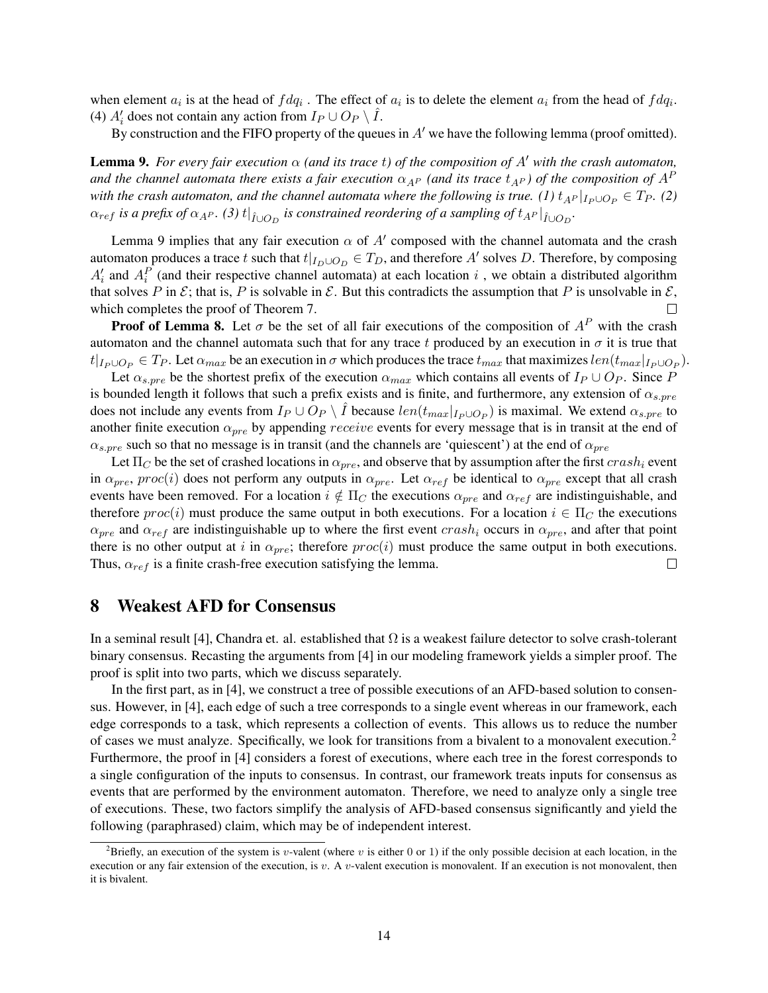when element  $a_i$  is at the head of  $fdq_i$ . The effect of  $a_i$  is to delete the element  $a_i$  from the head of  $fdq_i$ . (4)  $A'_i$  does not contain any action from  $I_P \cup O_P \setminus \hat{I}$ .

By construction and the FIFO property of the queues in  $A'$  we have the following lemma (proof omitted).

**Lemma 9.** For every fair execution  $\alpha$  (and its trace t) of the composition of A' with the crash automaton, *and the channel automata there exists a fair execution*  $\alpha_{AP}$  *(and its trace*  $t_{AP}$ *) of the composition of*  $A^P$ *with the crash automaton, and the channel automata where the following is true.* (1)  $t_{A}P|_{I_P \cup O_P} \in T_P$ . (2)  $\alpha_{ref}$  is a prefix of  $\alpha_{A^P}$ . (3)  $t|_{\hat{I}\cup O_D}$  is constrained reordering of a sampling of  $t_{A^P}|_{\hat{I}\cup O_D}$ .

Lemma 9 implies that any fair execution  $\alpha$  of A' composed with the channel automata and the crash automaton produces a trace t such that  $t|_{I_D \cup O_D} \in T_D$ , and therefore A' solves D. Therefore, by composing  $A_i'$  and  $A_i^P$  (and their respective channel automata) at each location i, we obtain a distributed algorithm that solves P in  $\mathcal E$ ; that is, P is solvable in  $\mathcal E$ . But this contradicts the assumption that P is unsolvable in  $\mathcal E$ , which completes the proof of Theorem 7.  $\Box$ 

**Proof of Lemma 8.** Let  $\sigma$  be the set of all fair executions of the composition of  $A^P$  with the crash automaton and the channel automata such that for any trace t produced by an execution in  $\sigma$  it is true that  $t|_{I_P\cup O_P}\in T_P$ . Let  $\alpha_{max}$  be an execution in  $\sigma$  which produces the trace  $t_{max}$  that maximizes  $len(t_{max}|_{I_P\cup O_P})$ .

Let  $\alpha_{s,pre}$  be the shortest prefix of the execution  $\alpha_{max}$  which contains all events of  $I_P \cup O_P$ . Since P is bounded length it follows that such a prefix exists and is finite, and furthermore, any extension of  $\alpha_{s,pre}$ does not include any events from  $I_P \cup \overline{O_P} \setminus \hat{I}$  because  $len(t_{max}|_{I_P \cup O_P})$  is maximal. We extend  $\alpha_{s,pre}$  to another finite execution  $\alpha_{pre}$  by appending *receive* events for every message that is in transit at the end of  $\alpha_{s,pre}$  such so that no message is in transit (and the channels are 'quiescent') at the end of  $\alpha_{pre}$ 

Let  $\Pi_C$  be the set of crashed locations in  $\alpha_{pre}$ , and observe that by assumption after the first  $crash_i$  event in  $\alpha_{pre}$ , proc(i) does not perform any outputs in  $\alpha_{pre}$ . Let  $\alpha_{ref}$  be identical to  $\alpha_{pre}$  except that all crash events have been removed. For a location  $i \notin \Pi_C$  the executions  $\alpha_{pre}$  and  $\alpha_{ref}$  are indistinguishable, and therefore  $proc(i)$  must produce the same output in both executions. For a location  $i \in \Pi_C$  the executions  $\alpha_{pre}$  and  $\alpha_{ref}$  are indistinguishable up to where the first event  $crash_i$  occurs in  $\alpha_{pre}$ , and after that point there is no other output at i in  $\alpha_{pre}$ ; therefore  $proc(i)$  must produce the same output in both executions. Thus,  $\alpha_{ref}$  is a finite crash-free execution satisfying the lemma.  $\Box$ 

## 8 Weakest AFD for Consensus

In a seminal result [4], Chandra et. al. established that  $\Omega$  is a weakest failure detector to solve crash-tolerant binary consensus. Recasting the arguments from [4] in our modeling framework yields a simpler proof. The proof is split into two parts, which we discuss separately.

In the first part, as in [4], we construct a tree of possible executions of an AFD-based solution to consensus. However, in [4], each edge of such a tree corresponds to a single event whereas in our framework, each edge corresponds to a task, which represents a collection of events. This allows us to reduce the number of cases we must analyze. Specifically, we look for transitions from a bivalent to a monovalent execution.<sup>2</sup> Furthermore, the proof in [4] considers a forest of executions, where each tree in the forest corresponds to a single configuration of the inputs to consensus. In contrast, our framework treats inputs for consensus as events that are performed by the environment automaton. Therefore, we need to analyze only a single tree of executions. These, two factors simplify the analysis of AFD-based consensus significantly and yield the following (paraphrased) claim, which may be of independent interest.

<sup>&</sup>lt;sup>2</sup>Briefly, an execution of the system is v-valent (where v is either 0 or 1) if the only possible decision at each location, in the execution or any fair extension of the execution, is v. A v-valent execution is monovalent. If an execution is not monovalent, then it is bivalent.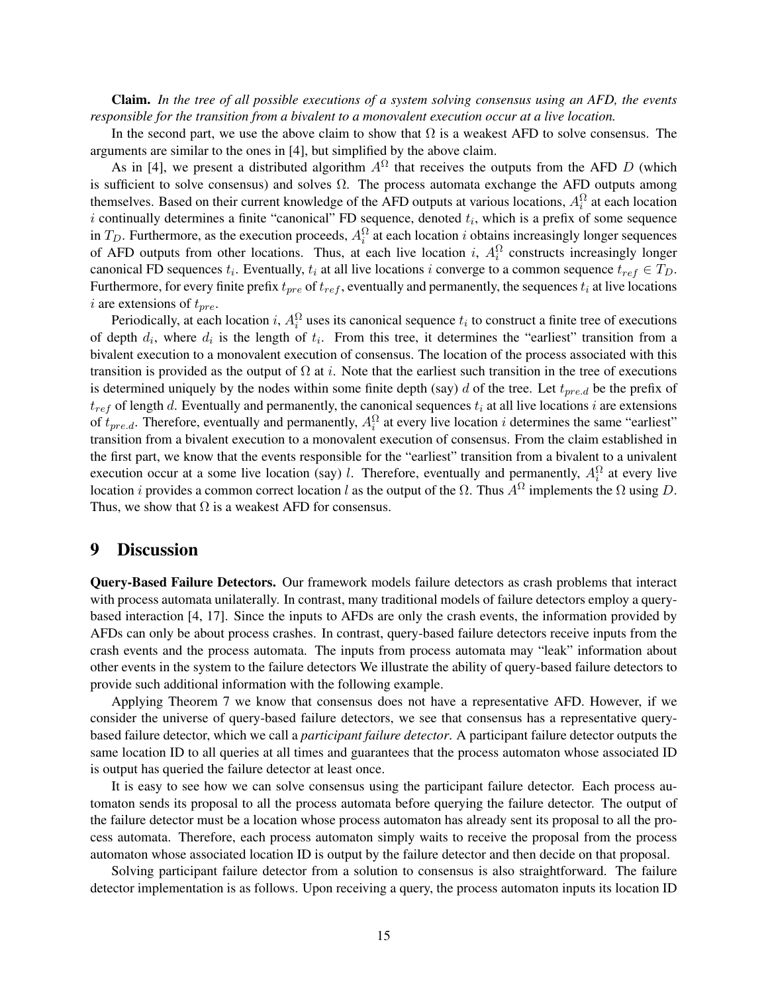Claim. *In the tree of all possible executions of a system solving consensus using an AFD, the events responsible for the transition from a bivalent to a monovalent execution occur at a live location.*

In the second part, we use the above claim to show that  $\Omega$  is a weakest AFD to solve consensus. The arguments are similar to the ones in [4], but simplified by the above claim.

As in [4], we present a distributed algorithm  $A^{\Omega}$  that receives the outputs from the AFD D (which is sufficient to solve consensus) and solves  $\Omega$ . The process automata exchange the AFD outputs among themselves. Based on their current knowledge of the AFD outputs at various locations,  $A_i^{\Omega}$  at each location i continually determines a finite "canonical" FD sequence, denoted  $t_i$ , which is a prefix of some sequence in  $T_D$ . Furthermore, as the execution proceeds,  $A_i^{\Omega}$  at each location *i* obtains increasingly longer sequences of AFD outputs from other locations. Thus, at each live location i,  $A_i^{\Omega}$  constructs increasingly longer canonical FD sequences  $t_i$ . Eventually,  $t_i$  at all live locations i converge to a common sequence  $t_{ref} \in T_D$ . Furthermore, for every finite prefix  $t_{pre}$  of  $t_{ref}$ , eventually and permanently, the sequences  $t_i$  at live locations i are extensions of  $t_{pre}$ .

Periodically, at each location i,  $A_i^{\Omega}$  uses its canonical sequence  $t_i$  to construct a finite tree of executions of depth  $d_i$ , where  $d_i$  is the length of  $t_i$ . From this tree, it determines the "earliest" transition from a bivalent execution to a monovalent execution of consensus. The location of the process associated with this transition is provided as the output of  $\Omega$  at i. Note that the earliest such transition in the tree of executions is determined uniquely by the nodes within some finite depth (say) d of the tree. Let  $t_{pre,d}$  be the prefix of  $t_{ref}$  of length d. Eventually and permanently, the canonical sequences  $t_i$  at all live locations i are extensions of  $t_{pre.d.}$  Therefore, eventually and permanently,  $A_i^{\Omega}$  at every live location *i* determines the same "earliest" transition from a bivalent execution to a monovalent execution of consensus. From the claim established in the first part, we know that the events responsible for the "earliest" transition from a bivalent to a univalent execution occur at a some live location (say) *l*. Therefore, eventually and permanently,  $A_i^{\Omega}$  at every live location i provides a common correct location l as the output of the  $\Omega$ . Thus  $A^{\Omega}$  implements the  $\Omega$  using D. Thus, we show that  $\Omega$  is a weakest AFD for consensus.

## 9 Discussion

Query-Based Failure Detectors. Our framework models failure detectors as crash problems that interact with process automata unilaterally. In contrast, many traditional models of failure detectors employ a querybased interaction [4, 17]. Since the inputs to AFDs are only the crash events, the information provided by AFDs can only be about process crashes. In contrast, query-based failure detectors receive inputs from the crash events and the process automata. The inputs from process automata may "leak" information about other events in the system to the failure detectors We illustrate the ability of query-based failure detectors to provide such additional information with the following example.

Applying Theorem 7 we know that consensus does not have a representative AFD. However, if we consider the universe of query-based failure detectors, we see that consensus has a representative querybased failure detector, which we call a *participant failure detector*. A participant failure detector outputs the same location ID to all queries at all times and guarantees that the process automaton whose associated ID is output has queried the failure detector at least once.

It is easy to see how we can solve consensus using the participant failure detector. Each process automaton sends its proposal to all the process automata before querying the failure detector. The output of the failure detector must be a location whose process automaton has already sent its proposal to all the process automata. Therefore, each process automaton simply waits to receive the proposal from the process automaton whose associated location ID is output by the failure detector and then decide on that proposal.

Solving participant failure detector from a solution to consensus is also straightforward. The failure detector implementation is as follows. Upon receiving a query, the process automaton inputs its location ID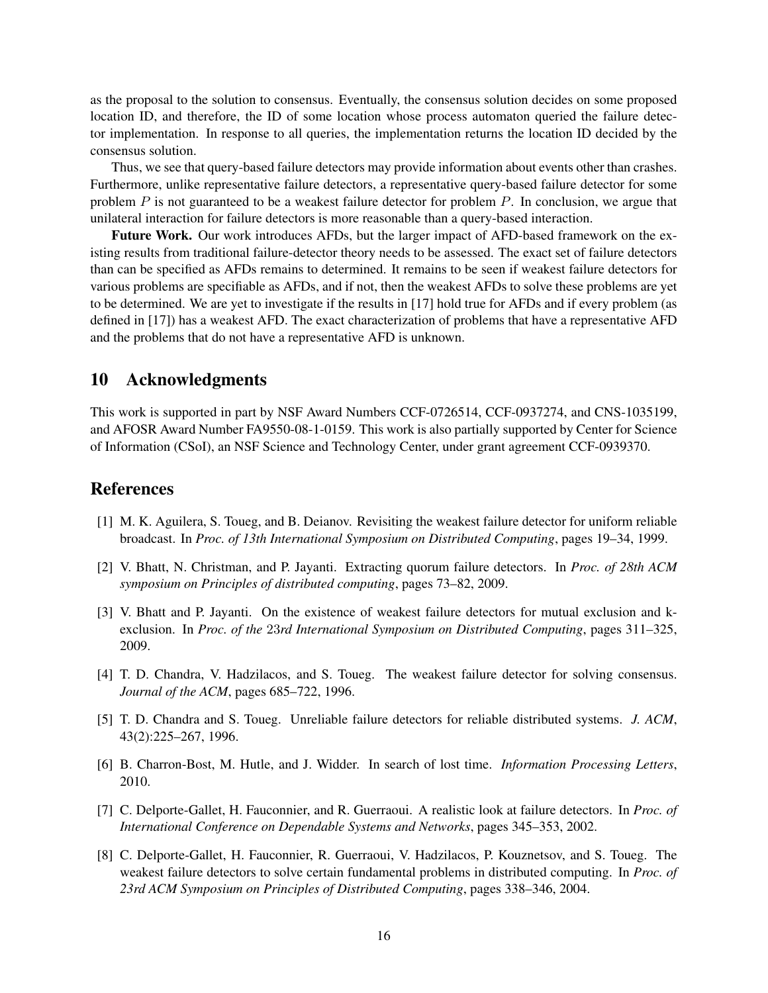as the proposal to the solution to consensus. Eventually, the consensus solution decides on some proposed location ID, and therefore, the ID of some location whose process automaton queried the failure detector implementation. In response to all queries, the implementation returns the location ID decided by the consensus solution.

Thus, we see that query-based failure detectors may provide information about events other than crashes. Furthermore, unlike representative failure detectors, a representative query-based failure detector for some problem  $P$  is not guaranteed to be a weakest failure detector for problem  $P$ . In conclusion, we argue that unilateral interaction for failure detectors is more reasonable than a query-based interaction.

Future Work. Our work introduces AFDs, but the larger impact of AFD-based framework on the existing results from traditional failure-detector theory needs to be assessed. The exact set of failure detectors than can be specified as AFDs remains to determined. It remains to be seen if weakest failure detectors for various problems are specifiable as AFDs, and if not, then the weakest AFDs to solve these problems are yet to be determined. We are yet to investigate if the results in [17] hold true for AFDs and if every problem (as defined in [17]) has a weakest AFD. The exact characterization of problems that have a representative AFD and the problems that do not have a representative AFD is unknown.

## 10 Acknowledgments

This work is supported in part by NSF Award Numbers CCF-0726514, CCF-0937274, and CNS-1035199, and AFOSR Award Number FA9550-08-1-0159. This work is also partially supported by Center for Science of Information (CSoI), an NSF Science and Technology Center, under grant agreement CCF-0939370.

## References

- [1] M. K. Aguilera, S. Toueg, and B. Deianov. Revisiting the weakest failure detector for uniform reliable broadcast. In *Proc. of 13th International Symposium on Distributed Computing*, pages 19–34, 1999.
- [2] V. Bhatt, N. Christman, and P. Jayanti. Extracting quorum failure detectors. In *Proc. of 28th ACM symposium on Principles of distributed computing*, pages 73–82, 2009.
- [3] V. Bhatt and P. Jayanti. On the existence of weakest failure detectors for mutual exclusion and kexclusion. In *Proc. of the* 23*rd International Symposium on Distributed Computing*, pages 311–325, 2009.
- [4] T. D. Chandra, V. Hadzilacos, and S. Toueg. The weakest failure detector for solving consensus. *Journal of the ACM*, pages 685–722, 1996.
- [5] T. D. Chandra and S. Toueg. Unreliable failure detectors for reliable distributed systems. *J. ACM*, 43(2):225–267, 1996.
- [6] B. Charron-Bost, M. Hutle, and J. Widder. In search of lost time. *Information Processing Letters*, 2010.
- [7] C. Delporte-Gallet, H. Fauconnier, and R. Guerraoui. A realistic look at failure detectors. In *Proc. of International Conference on Dependable Systems and Networks*, pages 345–353, 2002.
- [8] C. Delporte-Gallet, H. Fauconnier, R. Guerraoui, V. Hadzilacos, P. Kouznetsov, and S. Toueg. The weakest failure detectors to solve certain fundamental problems in distributed computing. In *Proc. of 23rd ACM Symposium on Principles of Distributed Computing*, pages 338–346, 2004.